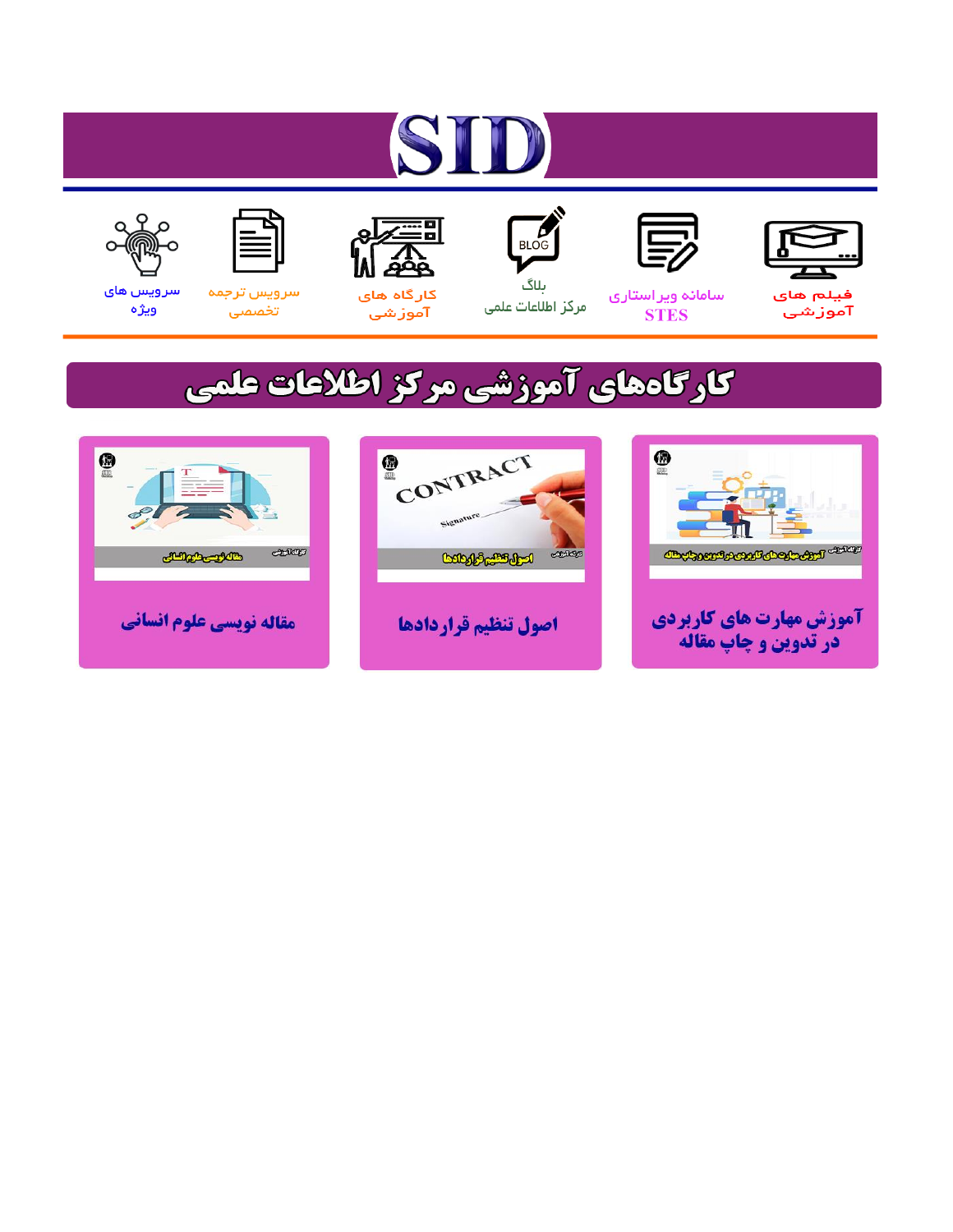# ST









### سامائه ويراستاري **STES**



ىلاگ مرکز اطلاعات علمی



ققق کارگاه های

آموزشي

空



تخصصى

سرویس های ويژه

## كارگاههای آموزشی مركز اطلاعات علمی





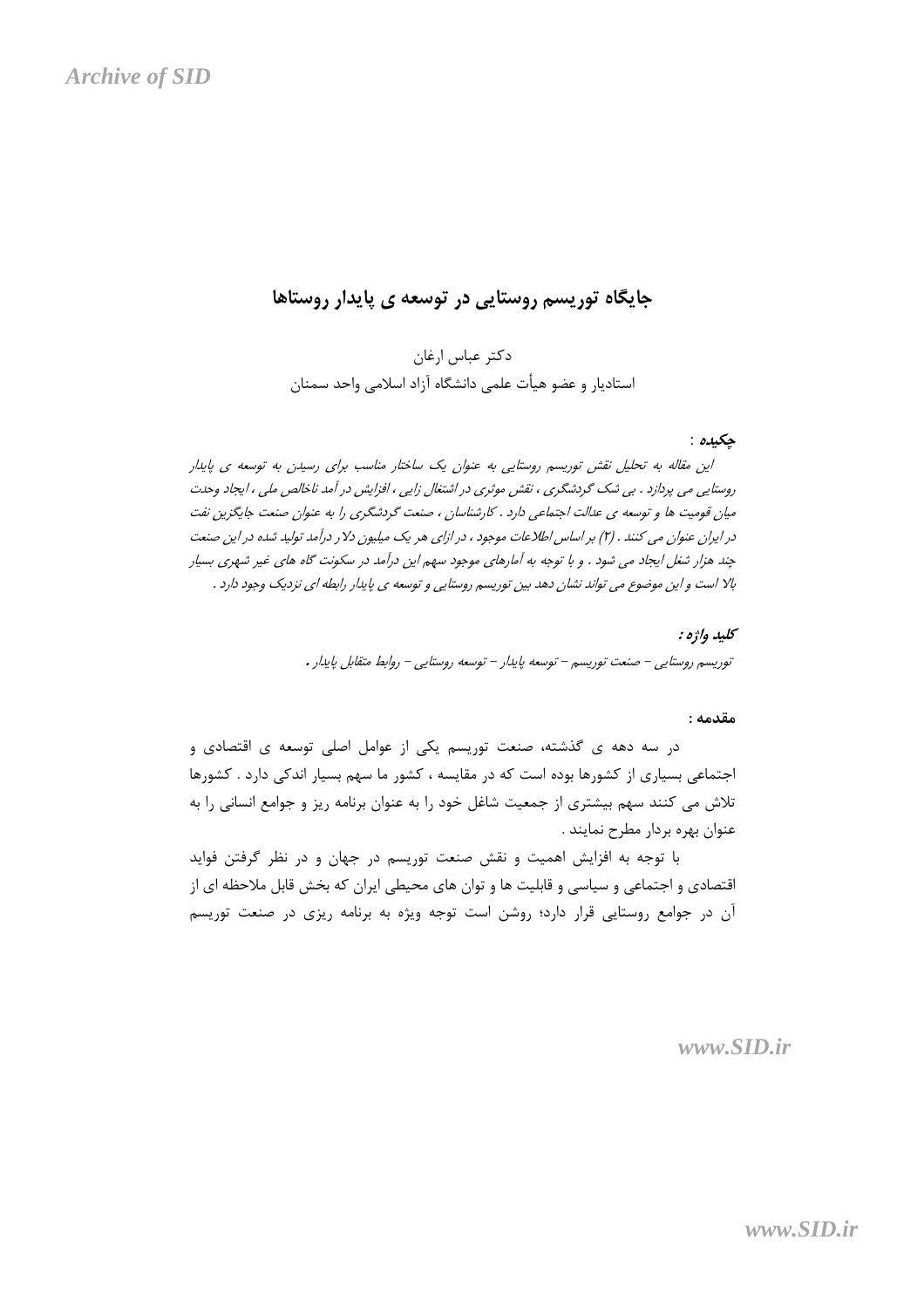### جایگاه توریسم روستایی در توسعه ی پایدار روستاها

#### حكىدە :

این مقاله به تحلیل نقش توریسم روستایی به عنوان یک ساختار مناسب برای رسیدن به توسعه ی پایدار روستایی می پردازد . بی شک گردشگری ، نقش موثری در اشتغال زایی ، افزایش در آمد ناخالص ملی ، ایجاد وحدت میان قومیت ها و توسعه ی عدالت اجتماعی دارد . کارشناسان ، صنعت گردشگری را به عنوان صنعت جایگزین نفت در ایران عنوان می کنند . (۲) بر اساس اطلاعات موجود ، در ازای هر یک میلیون دلار درآمد تولید شده در این صنعت چند هزار شغل ایجاد می شود . و با توجه به آمارهای موجود سهم این درآمد در سکونت گاه های غیر شهری بسیار بالا است و این موضوع می تواند نشان دهد بین توریسم روستایی و توسعه ی پایدار رابطه ای نزدیک وجود دارد .

> كليد واژه : توریسم روستایی – صنعت توریسم – توسعه پایدار – توسعه روستایی – روابط متقابل پایدار .

#### مقدمه :

در سه دهه ی گذشته، صنعت توریسم یکی از عوامل اصلی توسعه ی اقتصادی و اجتماعی بسیاری از کشورها بوده است که در مقایسه ، کشور ما سهم بسیار اندکی دارد . کشورها تلاش می کنند سهم بیشتری از جمعیت شاغل خود را به عنوان برنامه ریز و جوامع انسانی را به عنوان بهره بردار مطرح نمايند .

با توجه به افزایش اهمیت و نقش صنعت توریسم در جهان و در نظر گرفتن فواید اقتصادی و اجتماعی و سیاسی و قابلیت ها و توان های محیطی ایران که بخش قابل ملاحظه ای از آن در جوامع روستایی قرار دارد؛ روشن است توجه ویژه به برنامه ریزی در صنعت توریسم

 $www.SID.fr$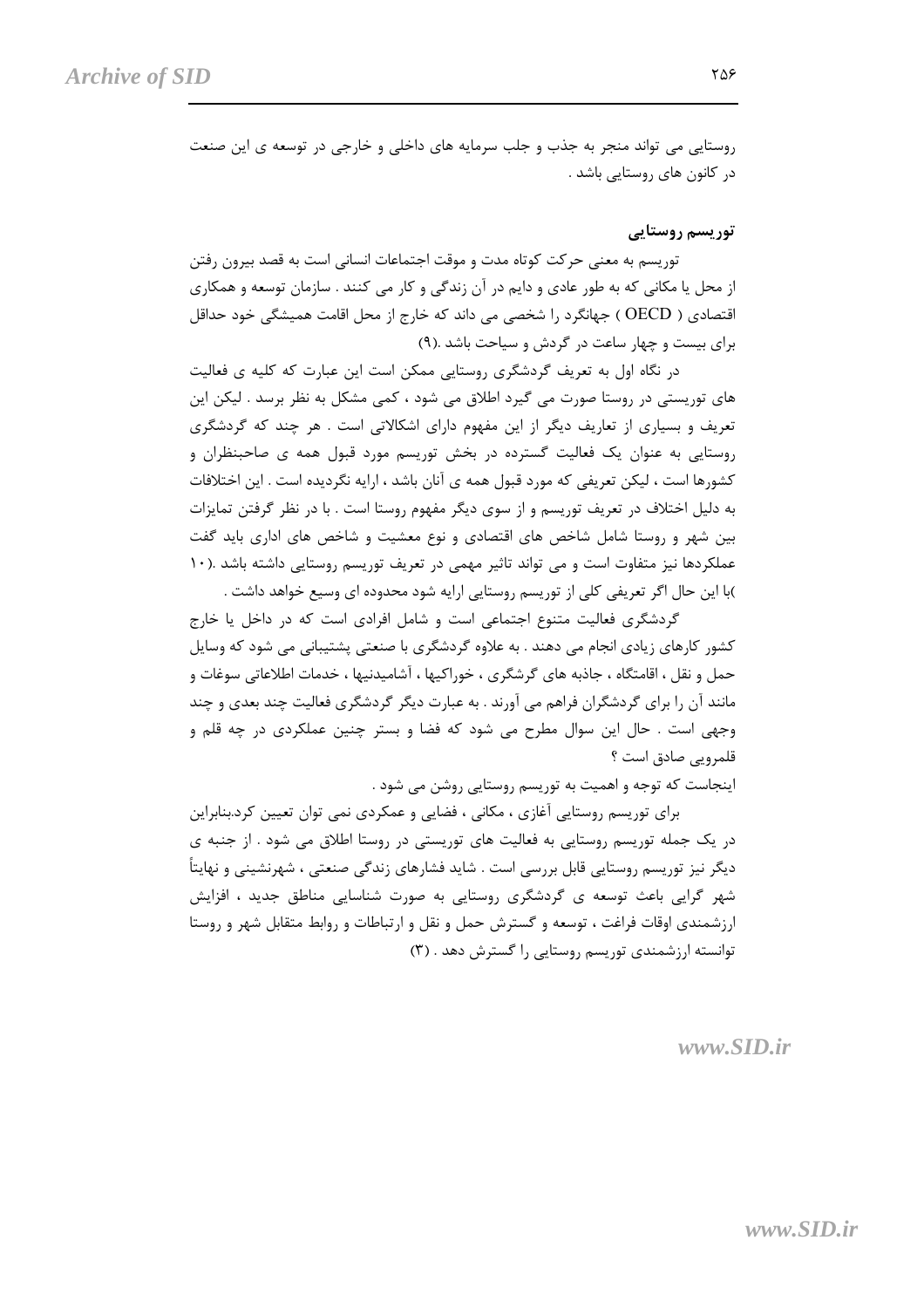روستایی می تواند منجر به جذب و جلب سرمایه های داخلی و خارجی در توسعه ی این صنعت در کانون های روستایی باشد .

توریسم روستایی

توریسم به معنی حرکت کوتاه مدت و موقت اجتماعات انسانی است به قصد بیرون رفتن از محل یا مکانی که به طور عادی و دایم در آن زندگی و کار می کنند . سازمان توسعه و همکاری اقتصادی ( OECD ) جهانگرد را شخصی می داند که خارج از محل اقامت همیشگی خود حداقل برای بیست و چهار ساعت در گردش و سیاحت باشد .(۹)

در نگاه اول به تعریف گردشگری روستایی ممکن است این عبارت که کلیه ی فعالیت های توریستی در روستا صورت می گیرد اطلاق می شود ، کمی مشکل به نظر برسد . لیکن این تعریف و بسیاری از تعاریف دیگر از این مفهوم دارای اشکالاتی است . هر چند که گردشگری روستایی به عنوان یک فعالیت گسترده در بخش توریسم مورد قبول همه ی صاحبنظران و کشورها است ، لیکن تعریفی که مورد قبول همه ی آنان باشد ، ارایه نگردیده است . این اختلافات به دلیل اختلاف در تعریف توریسم و از سوی دیگر مفهوم روستا است . با در نظر گرفتن تمایزات بین شهر و روستا شامل شاخص های اقتصادی و نوع معشیت و شاخص های اداری باید گفت عملکردها نیز متفاوت است و می تواند تاثیر مهمی در تعریف توریسم روستایی داشته باشد .(١٠ )با این حال اگر تعریفی کلی از توریسم روستایی ارایه شود محدوده ای وسیع خواهد داشت .

گردشگری فعالیت متنوع اجتماعی است و شامل افرادی است که در داخل یا خارج کشور کارهای زیادی انجام می دهند . به علاوه گردشگری با صنعتی پشتیبانی می شود که وسایل حمل و نقل ، اقامتگاه ، جاذبه های گرشگری ، خوراکیها ، آشامیدنیها ، خدمات اطلاعاتی سوغات و مانند آن را برای گردشگران فراهم می آورند . به عبارت دیگر گردشگری فعالیت چند بعدی و چند وجهی است . حال این سوال مطرح می شود که فضا و بستر چنین عملکردی در چه قلم و قلمرويي صادق است ؟

اینجاست که توجه و اهمیت به توریسم روستایی روشن می شود .

برای توریسم روستایی آغازی ، مکانی ، فضایی و عمکردی نمی توان تعیین کرد.بنابراین در یک جمله توریسم روستایی به فعالیت های توریستی در روستا اطلاق می شود . از جنبه ی دیگر نیز توریسم روستایی قابل بررسی است . شاید فشارهای زندگی صنعتی ، شهرنشینی و نهایتاً شهر گرایی باعث توسعه ی گردشگری روستایی به صورت شناسایی مناطق جدید ، افزایش ارزشمندی اوقات فراغت ، توسعه و گسترش حمل و نقل و ارتباطات و روابط متقابل شهر و روستا توانسته ارزشمندی توریسم روستایی را گسترش دهد . (۳)

۲۵۶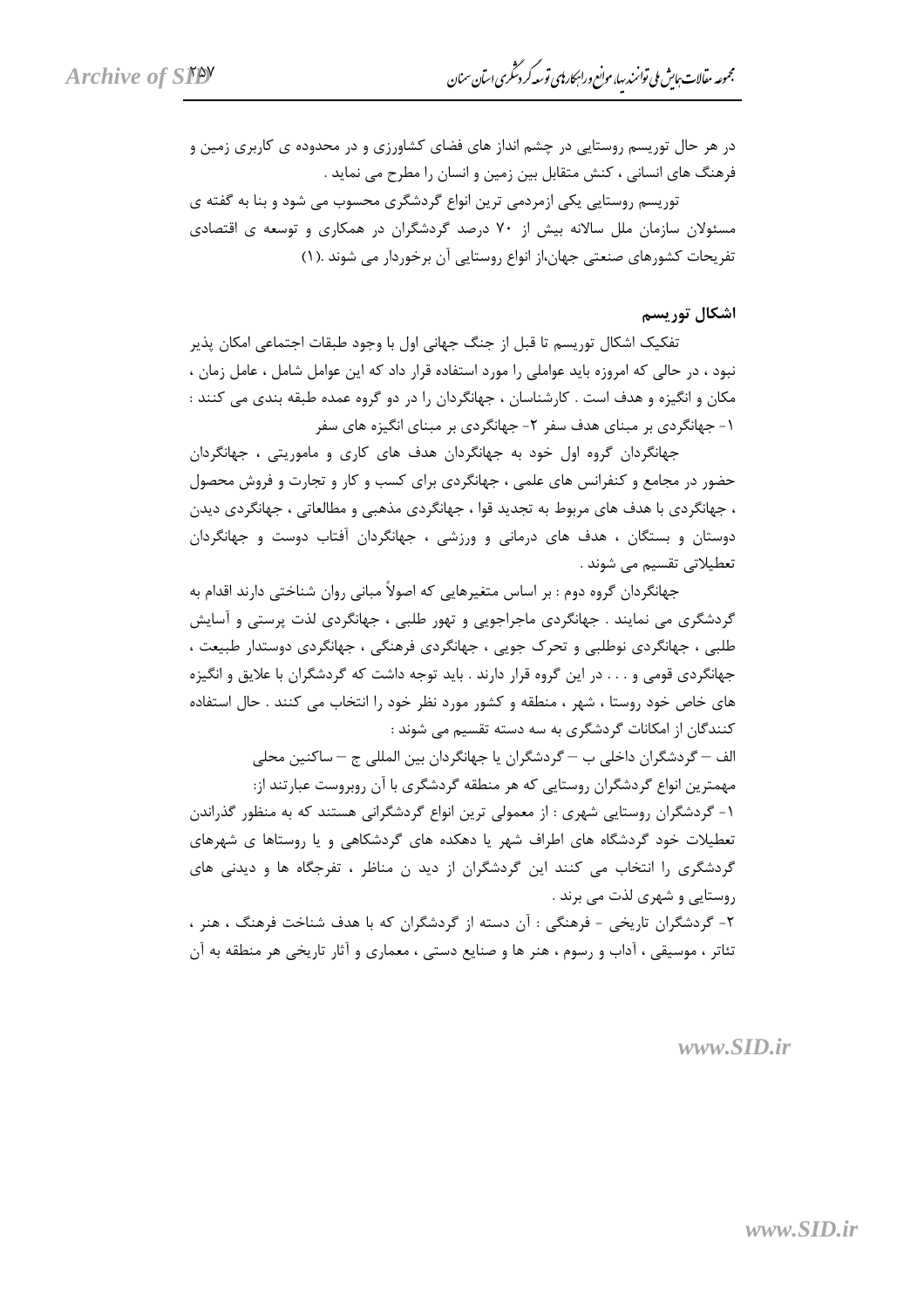در هر حال توریسم روستایی در چشم انداز های فضای کشاورزی و در محدوده ی کاربری زمین و فرهنگ های انسانی ، کنش متقابل بین زمین و انسان را مطرح می نماید .

توریسم روستایی یکی ازمردمی ترین انواع گردشگری محسوب می شود و بنا به گفته ی مسئولان سازمان ملل سالانه بیش از ۷۰ درصد گردشگران در همکاری و توسعه ی اقتصادی تفريحات كشورهاي صنعتي جهان،از انواع روستايي آن برخوردار مي شوند .(١)

اشکال توریسم

تفكيك اشكال توريسم تا قبل از جنگ جهاني اول با وجود طبقات اجتماعي امكان پذير نبود ، در حالی که امروزه باید عواملی را مورد استفاده قرار داد که این عوامل شامل ، عامل زمان ، مکان و انگیزه و هدف است . کارشناسان ، جهانگردان را در دو گروه عمده طبقه بندی می کنند : ۱- جهانگردی بر مبنای هدف سفر ۲- جهانگردی بر مبنای انگیزه های سفر

جهانگردان گروه اول خود به جهانگردان هدف های کاری و ماموریتی ، جهانگردان حضور در مجامع و کنفرانس های علمی ، جهانگردی برای کسب و کار و تجارت و فروش محصول ، جهانگردی با هدف های مربوط به تجدید قوا ، جهانگردی مذهبی و مطالعاتی ، جهانگردی دیدن دوستان و بستگان ، هدف های درمانی و ورزشی ، جهانگردان آفتاب دوست و جهانگردان تعطیلاتی تقسیم می شوند .

جهانگردان گروه دوم : بر اساس متغیرهایی که اصولاً مبانی روان شناختی دارند اقدام به گردشگری می نمایند . جهانگردی ماجراجویی و تهور طلبی ، جهانگردی لذت پرستی و آسایش طلبي ، جهانگردي نوطلبي و تحرک جويي ، جهانگردي فرهنگي ، جهانگردي دوستدار طبيعت ، جهانگردی قومی و . . . در این گروه قرار دارند . باید توجه داشت که گردشگران با علایق و انگیزه های خاص خود روستا ، شهر ، منطقه و کشور مورد نظر خود را انتخاب می کنند . حال استفاده کنندگان از امکانات گردشگری به سه دسته تقسیم می شوند :

الف – گردشگران داخلی ب – گردشگران یا جهانگردان بین المللی ج – ساکنین محلی مهمترین انواع گردشگران روستایی که هر منطقه گردشگری با آن روبروست عبارتند از: ۱- گردشگران روستایی شهری : از معمولی ترین انواع گردشگرانی هستند که به منظور گذراندن تعطیلات خود گردشگاه های اطراف شهر یا دهکده های گردشکاهی و یا روستاها ی شهرهای گردشگری را انتخاب می کنند این گردشگران از دید ن مناظر ، تفرجگاه ها و دیدنی های روستایی و شهری لذت می برند .

٢- گردشگران تاریخی - فرهنگی : آن دسته از گردشگران که با هدف شناخت فرهنگ ، هنر ، تئاتر ، موسیقی ، آداب و رسوم ، هنر ها و صنایع دستی ، معماری و آثار تاریخی هر منطقه به آن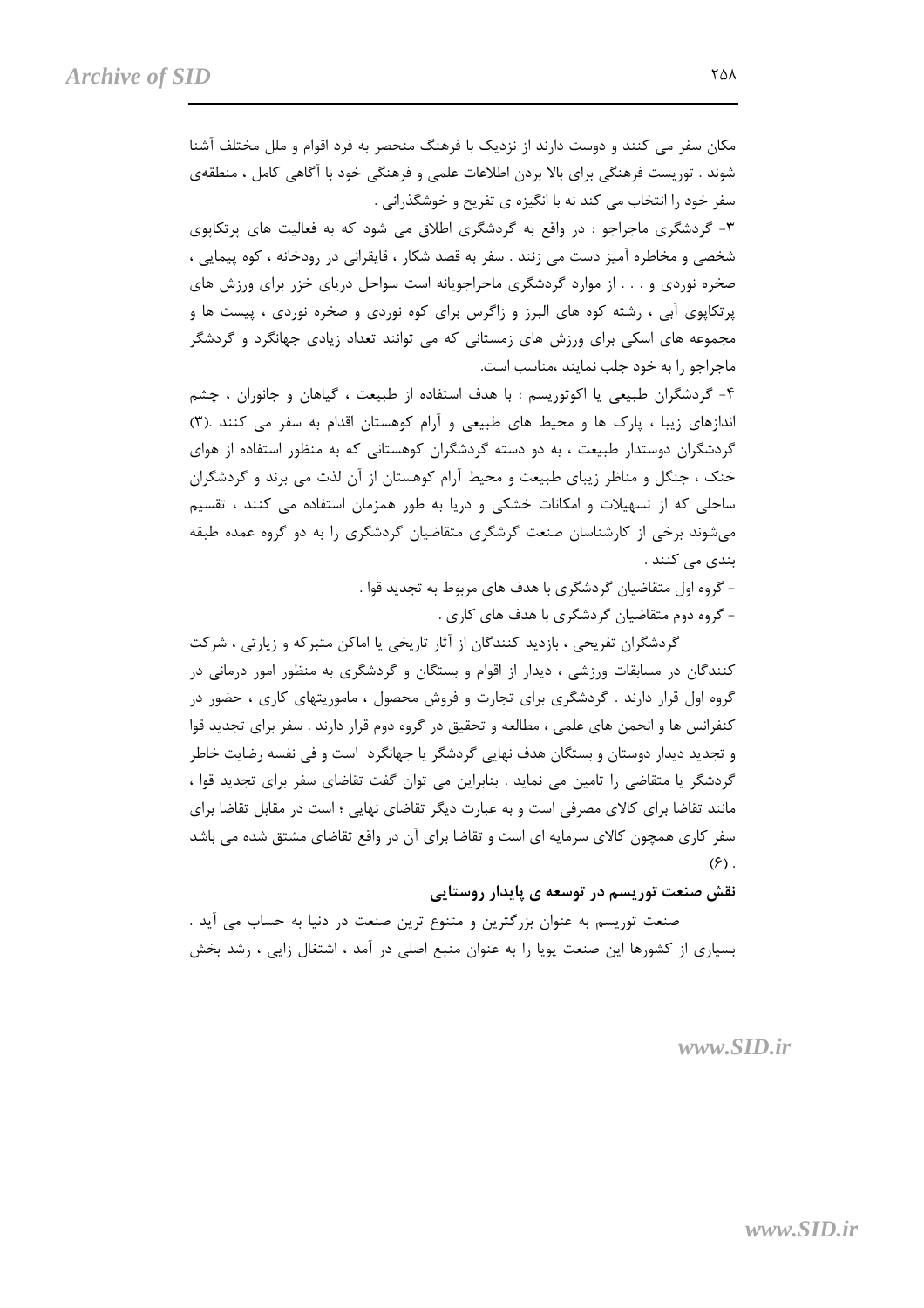مکان سفر می کنند و دوست دارند از نزدیک با فرهنگ منحصر به فرد اقوام و ملل مختلف آشنا شوند . توریست فرهنگی برای بالا بردن اطلاعات علمی و فرهنگی خود با آگاهی کامل ، منطقهی سفر خود را انتخاب می کند نه با انگیزه ی تفریح و خوشگذرانی .

۳- گردشگری ماجراجو : در واقع به گردشگری اطلاق می شود که به فعالیت های پرتکاپوی شخصی و مخاطره آمیز دست می زنند . سفر به قصد شکار ، قایقرانی در رودخانه ، کوه پیمایی ، صخره نوردی و . . . از موارد گردشگری ماجراجویانه است سواحل دریای خزر برای ورزش های پرتکاپوی آبی ، رشته کوه های البرز و زاگرس برای کوه نوردی و صخره نوردی ، پیست ها و مجموعه های اسکی برای ورزش های زمستانی که می توانند تعداد زیادی جهانگرد و گردشگر ماجراجو را به خود جلب نمایند ،مناسب است.

۴- گردشگران طبیعی یا اکوتوریسم : با هدف استفاده از طبیعت ، گیاهان و جانوران ، چشم اندازهای زیبا ، پارک ها و محیط های طبیعی و آرام کوهستان اقدام به سفر می کنند .(۳) گردشگران دوستدار طبیعت ، به دو دسته گردشگران کوهستانی که به منظور استفاده از هوای خنک ، جنگل و مناظر زیبای طبیعت و محیط آرام کوهستان از آن لذت می برند و گردشگران ساحلی که از تسهیلات و امکانات خشکی و دریا به طور همزمان استفاده می کنند ، تقسیم می شوند برخی از کارشناسان صنعت گرشگری متقاضیان گردشگری را به دو گروه عمده طبقه بندی می کنند .

> - گروه اول متقاضیان گردشگری با هدف های مربوط به تجدید قوا . - گروه دوم متقاضیان گردشگری با هدف های کاری .

گردشگران تفریحی ، بازدید کنندگان از آثار تاریخی یا اماکن متبرکه و زیارتی ، شرکت کنندگان در مسابقات ورزشی ، دیدار از اقوام و بستگان و گردشگری به منظور امور درمانی در گروه اول قرار دارند . گردشگری برای تجارت و فروش محصول ، ماموریتهای کاری ، حضور در کنفرانس ها و انجمن های علمی ، مطالعه و تحقیق در گروه دوم قرار دارند . سفر برای تجدید قوا و تجدید دیدار دوستان و بستگان هدف نهایی گردشگر یا جهانگرد است و فی نفسه رضایت خاطر گردشگر یا متقاضی را تامین می نماید . بنابراین می توان گفت تقاضای سفر برای تجدید قوا ، مانند تقاضا برای کالای مصرفی است و به عبارت دیگر تقاضای نهایی ؛ است در مقابل تقاضا برای سفر کاری همچون کالای سرمایه ای است و تقاضا برای آن در واقع تقاضای مشتق شده می باشد  $(\hat{z})$ .

نقش صنعت توریسم در توسعه ی پایدار روستایی

صنعت توریسم به عنوان بزرگترین و متنوع ترین صنعت در دنیا به حساب می آید . بسیاری از کشورها این صنعت پویا را به عنوان منبع اصلی در آمد ، اشتغال زایی ، رشد بخش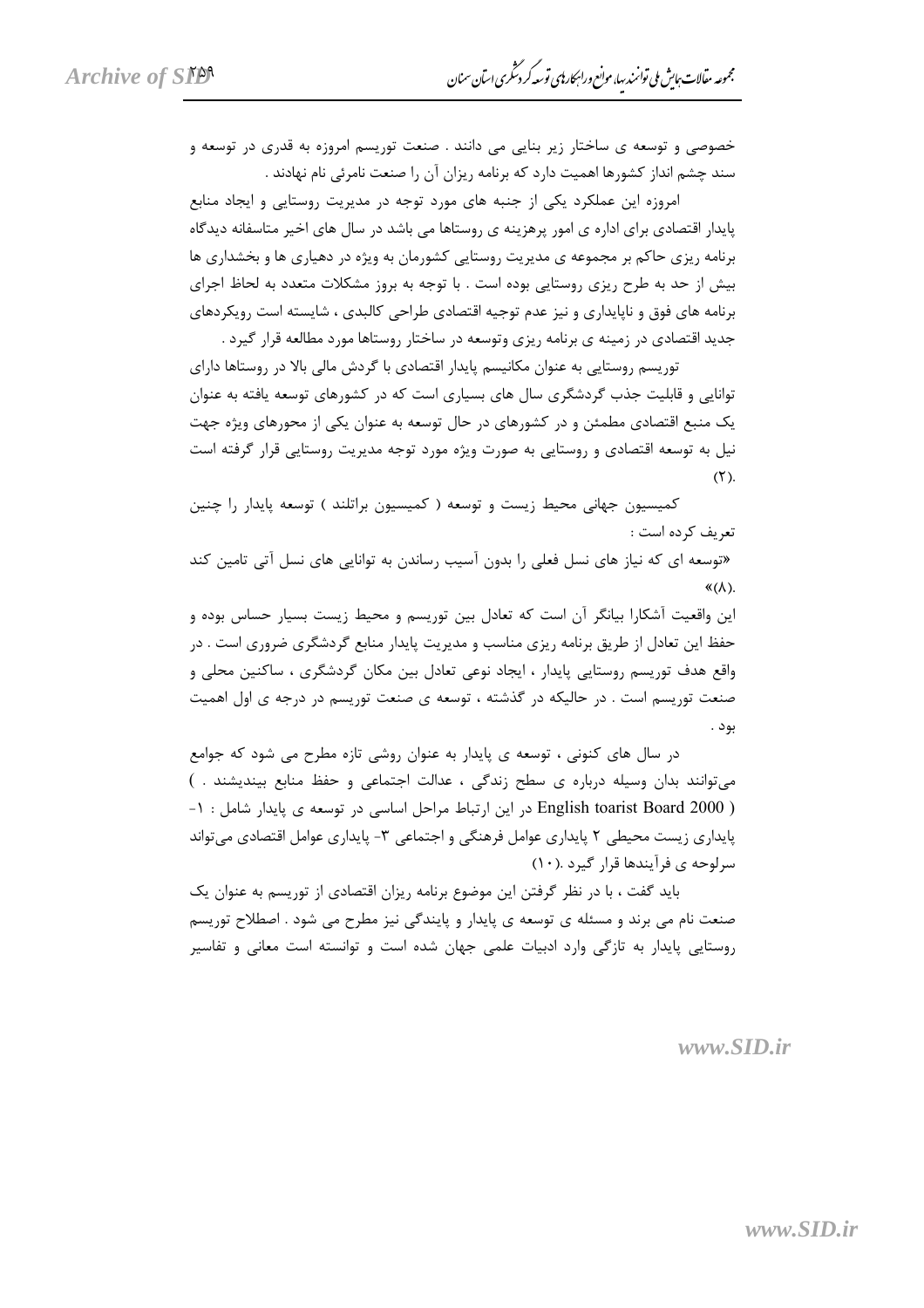خصوصی و توسعه ی ساختار زیر بنایی می دانند . صنعت توریسم امروزه به قدری در توسعه و سند چشم انداز کشورها اهمیت دارد که برنامه ریزان آن را صنعت نامرئی نام نهادند .

امروزه این عملکرد یکی از جنبه های مورد توجه در مدیریت روستایی و ایجاد منابع پایدار اقتصادی برای اداره ی امور پرهزینه ی روستاها می باشد در سال های اخیر متاسفانه دیدگاه برنامه ریزی حاکم بر مجموعه ی مدیریت روستایی کشورمان به ویژه در دهیاری ها و بخشداری ها بیش از حد به طرح ریزی روستایی بوده است . با توجه به بروز مشکلات متعدد به لحاظ اجرای برنامه های فوق و ناپایداری و نیز عدم توجیه اقتصادی طراحی کالبدی ، شایسته است رویکردهای جدید اقتصادی در زمینه ی برنامه ریزی وتوسعه در ساختار روستاها مورد مطالعه قرار گیرد .

توریسم روستایی به عنوان مکانیسم پایدار اقتصادی با گردش مالی بالا در روستاها دارای توانایی و قابلیت جذب گردشگری سال های بسیاری است که در کشورهای توسعه یافته به عنوان یک منبع اقتصادی مطمئن و در کشورهای در حال توسعه به عنوان یکی از محورهای ویژه جهت نیل به توسعه اقتصادی و روستایی به صورت ویژه مورد توجه مدیریت روستایی قرار گرفته است  $(Y)$ .

کمیسیون جهانی محیط زیست و توسعه ( کمیسیون براتلند ) توسعه پایدار را چنین تعريف كرده است : «توسعه ای که نیاز های نسل فعلی را بدون آسیب رساندن به توانایی های نسل آتی تامین کند  $\langle (\lambda) \rangle$ این واقعیت آشکارا بیانگر آن است که تعادل بین توریسم و محیط زیست بسیار حساس بوده و

حفظ این تعادل از طریق برنامه ریزی مناسب و مدیریت پایدار منابع گردشگری ضروری است . در واقع هدف توریسم روستایی پایدار ، ایجاد نوعی تعادل بین مکان گردشگری ، ساکنین محلی و صنعت توریسم است . در حالیکه در گذشته ، توسعه ی صنعت توریسم در درجه ی اول اهمیت بود .

در سال های کنونی ، توسعه ی پایدار به عنوان روشی تازه مطرح می شود که جوامع می توانند بدان وسیله درباره ی سطح زندگی ، عدالت اجتماعی و حفظ منابع بیندیشند . ) ( English toarist Board 2000 در این ارتباط مراحل اساسی در توسعه ی پایدار شامل : ۱-یایداری زیست محیطی ۲ پایداری عوامل فرهنگی و اجتماعی ۳- پایداری عوامل اقتصادی می تواند سرلوحه ی فرآیندها قرار گیرد .(١٠)

باید گفت ، با در نظر گرفتن این موضوع برنامه ریزان اقتصادی از توریسم به عنوان یک صنعت نام می برند و مسئله ی توسعه ی پایدار و پایندگی نیز مطرح می شود . اصطلاح توریسم روستایی پایدار به تازگی وارد ادبیات علمی جهان شده است و توانسته است معانی و تفاسیر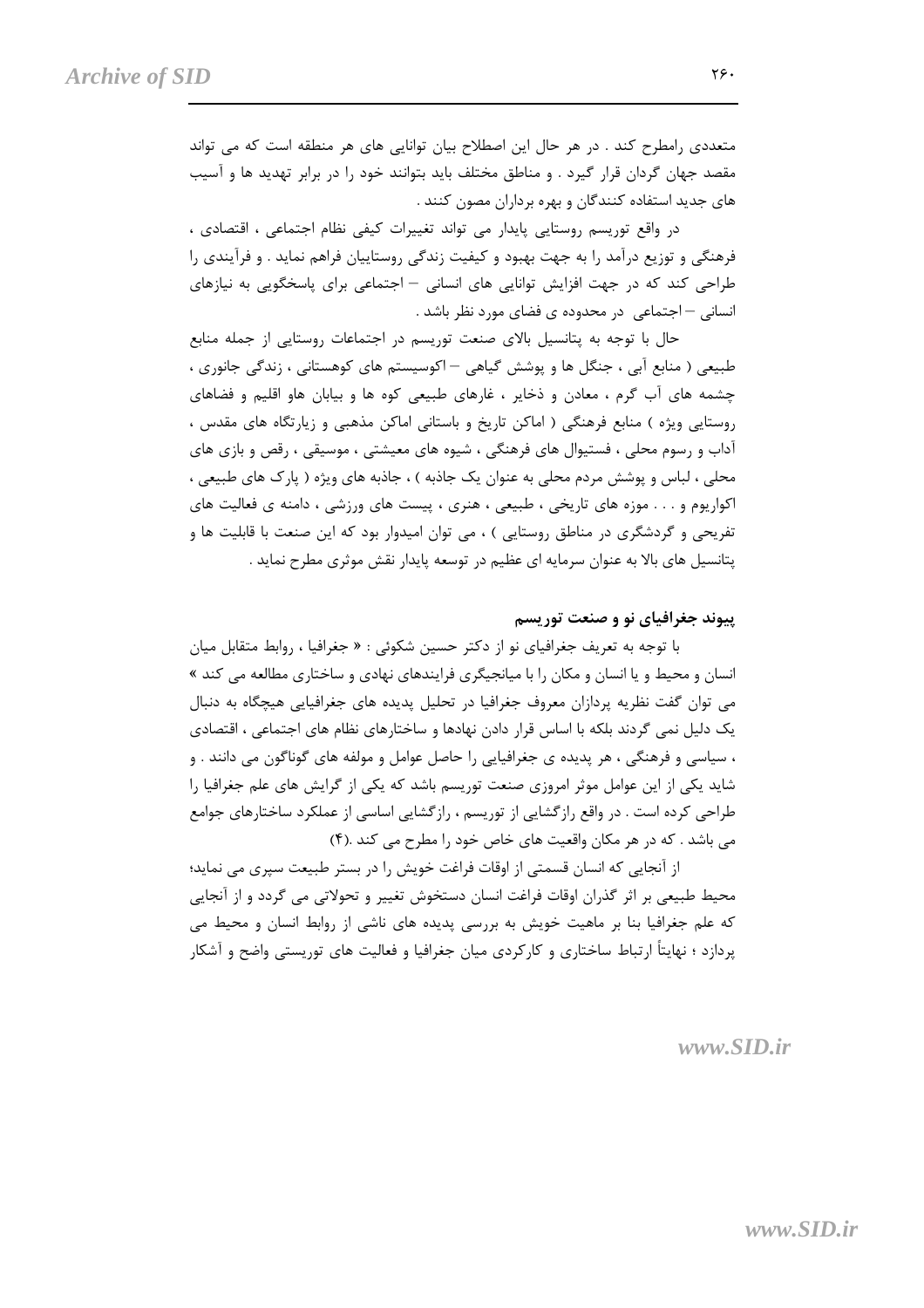متعددی رامطرح کند . در هر حال این اصطلاح بیان توانایی های هر منطقه است که می تواند مقصد جهان گردان قرار گیرد . و مناطق مختلف باید بتوانند خود را در برابر تهدید ها و آسیب های جدید استفاده کنندگان و بهره برداران مصون کنند .

در واقع توریسم روستایی پایدار می تواند تغییرات کیفی نظام اجتماعی ، اقتصادی ، فرهنگی و توزیع درآمد را به جهت بهبود و کیفیت زندگی روستاییان فراهم نماید . و فرآیندی را طراحی کند که در جهت افزایش توانایی های انسانی – اجتماعی برای پاسخگویی به نیازهای انسانی – اجتماعی در محدوده ی فضای مورد نظر باشد .

حال با توجه به پتانسیل بالای صنعت توریسم در اجتماعات روستایی از جمله منابع طبیعی ( منابع اًبی ، جنگل ها و پوشش گیاهی – اکوسیستم های کوهستانی ، زندگی جانوری ، چشمه های آب گرم ، معادن و ذخایر ، غارهای طبیعی کوه ها و بیابان هاو اقلیم و فضاهای روستایی ویژه ) منابع فرهنگی ( اماکن تاریخ و باستانی اماکن مذهبی و زیارتگاه های مقدس ، آداب و رسوم محلی ، فستیوال های فرهنگی ، شیوه های معیشتی ، موسیقی ، رقص و بازی های محلي ، لباس و پوشش مردم محلي به عنوان يک جاذبه ) ، جاذبه هاي ويژه ( پارک هاي طبيعي ، اکواریوم و . . . موزه های تاریخی ، طبیعی ، هنری ، پیست های ورزشی ، دامنه ی فعالیت های تفریحی و گردشگری در مناطق روستایی ) ، می توان امیدوار بود که این صنعت با قابلیت ها و پتانسیل های بالا به عنوان سرمایه ای عظیم در توسعه پایدار نقش موثری مطرح نماید .

#### پیوند جغرافیای نو و صنعت توریسم

با توجه به تعریف جغرافیای نو از دکتر حسین شکوئی : « جغرافیا ، روابط متقابل میان انسان و محیط و یا انسان و مکان را با میانجیگری فرایندهای نهادی و ساختاری مطالعه می کند » می توان گفت نظریه پردازان معروف جغرافیا در تحلیل پدیده های جغرافیایی هیچگاه به دنبال یک دلیل نمی گردند بلکه با اساس قرار دادن نهادها و ساختارهای نظام های اجتماعی ، اقتصادی ، سیاسی و فرهنگی ، هر پدیده ی جغرافیایی را حاصل عوامل و مولفه های گوناگون می دانند . و شاید یکی از این عوامل موثر امروزی صنعت توریسم باشد که یکی از گرایش های علم جغرافیا را طراحی کرده است . در واقع رازگشایی از توریسم ، رازگشایی اساسی از عملکرد ساختارهای جوامع می باشد . که در هر مکان واقعیت های خاص خود را مطرح می کند .(۴)

از آنجایی که انسان قسمتی از اوقات فراغت خویش را در بستر طبیعت سپری می نماید؛ محیط طبیعی بر اثر گذران اوقات فراغت انسان دستخوش تغییر و تحولاتی می گردد و از آنجایی که علم جغرافیا بنا بر ماهیت خویش به بررسی پدیده های ناشی از روابط انسان و محیط می پردازد ؛ نهایتاً ارتباط ساختاری و کارکردی میان جغرافیا و فعالیت های توریستی واضح و آشکار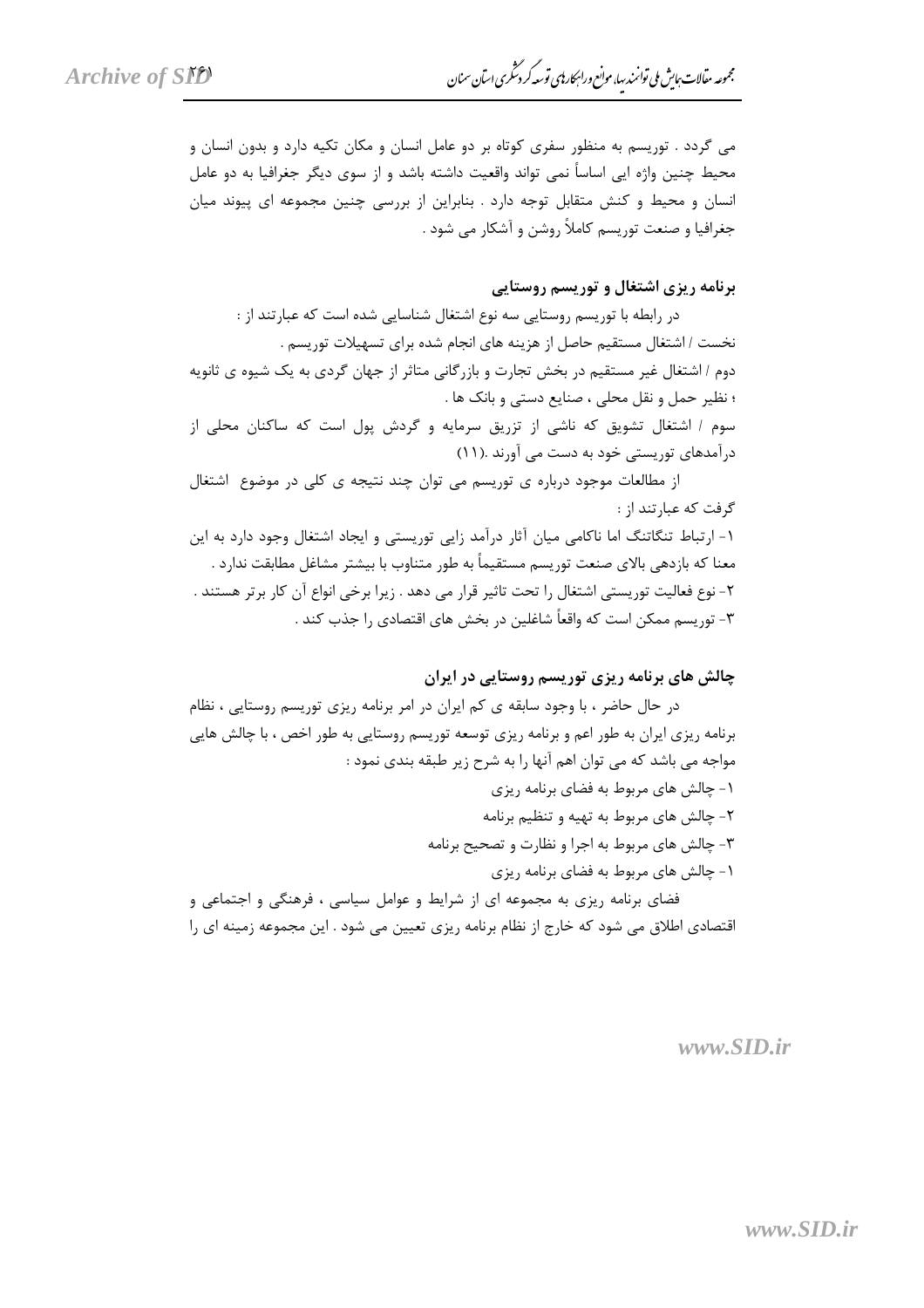می گردد . توریسم به منظور سفری کوتاه بر دو عامل انسان و مکان تکیه دارد و بدون انسان و محیط چنین واژه ایی اساساً نمی تواند واقعیت داشته باشد و از سوی دیگر جغرافیا به دو عامل انسان و محیط و کنش متقابل توجه دارد . بنابراین از بررسی چنین مجموعه ای پیوند میان جغرافیا و صنعت توریسم کاملاً روشن و آشکار می شود .

#### برنامه ریزی اشتغال و توریسم روستایی

در رابطه با توریسم روستایی سه نوع اشتغال شناسایی شده است که عبارتند از : نخست / اشتغال مستقيم حاصل از هزينه هاى انجام شده براى تسهيلات توريسم . دوم / اشتغال غیر مستقیم در بخش تجارت و بازرگانی متاثر از جهان گردی به یک شیوه ی ثانویه ؛ نظير حمل و نقل محلي ، صنايع دستي و بانک ها . سوم / اشتغال تشویق که ناشی از تزریق سرمایه و گردش پول است که ساکنان محلی از درآمدهای توریستی خود به دست می آورند .(١١)

از مطالعات موجود درباره ی توریسم می توان چند نتیجه ی کلی در موضوع اشتغال گرفت که عبارتند از : ۱- ارتباط تنگاتنگ اما ناکامی میان آثار درآمد زایی توریستی و ایجاد اشتغال وجود دارد به این معنا که بازدهی بالای صنعت توریسم مستقیماً به طور متناوب با بیشتر مشاغل مطابقت ندارد . ٢- نوع فعالیت توریستی اشتغال را تحت تاثیر قرار می دهد . زیرا برخی انواع آن کار برتر هستند . ٣- توريسم ممكن است كه واقعاً شاغلين در بخش هاي اقتصادي را جذب كند .

#### چالش های برنامه ریزی توریسم روستایی در ایران

در حال حاضر ، با وجود سابقه ی کم ایران در امر برنامه ریزی توریسم روستایی ، نظام برنامه ریزی ایران به طور اعم و برنامه ریزی توسعه توریسم روستایی به طور اخص ، با چالش هایی مواجه می باشد که می توان اهم آنها ۱٫ به شرح زیر طبقه بندی نمود :

> ۱- چالش های مربوط به فضای برنامه ریزی ۲- چالش های مربوط به تهیه و تنظیم برنامه

۳- چالش های مربوط به اجرا و نظارت و تصحیح برنامه

۱- چالش های مربوط به فضای برنامه ریزی

فضای برنامه ریزی به مجموعه ای از شرایط و عوامل سیاسی ، فرهنگی و اجتماعی و اقتصادی اطلاق می شود که خارج از نظام برنامه ریزی تعیین می شود . این مجموعه زمینه ای را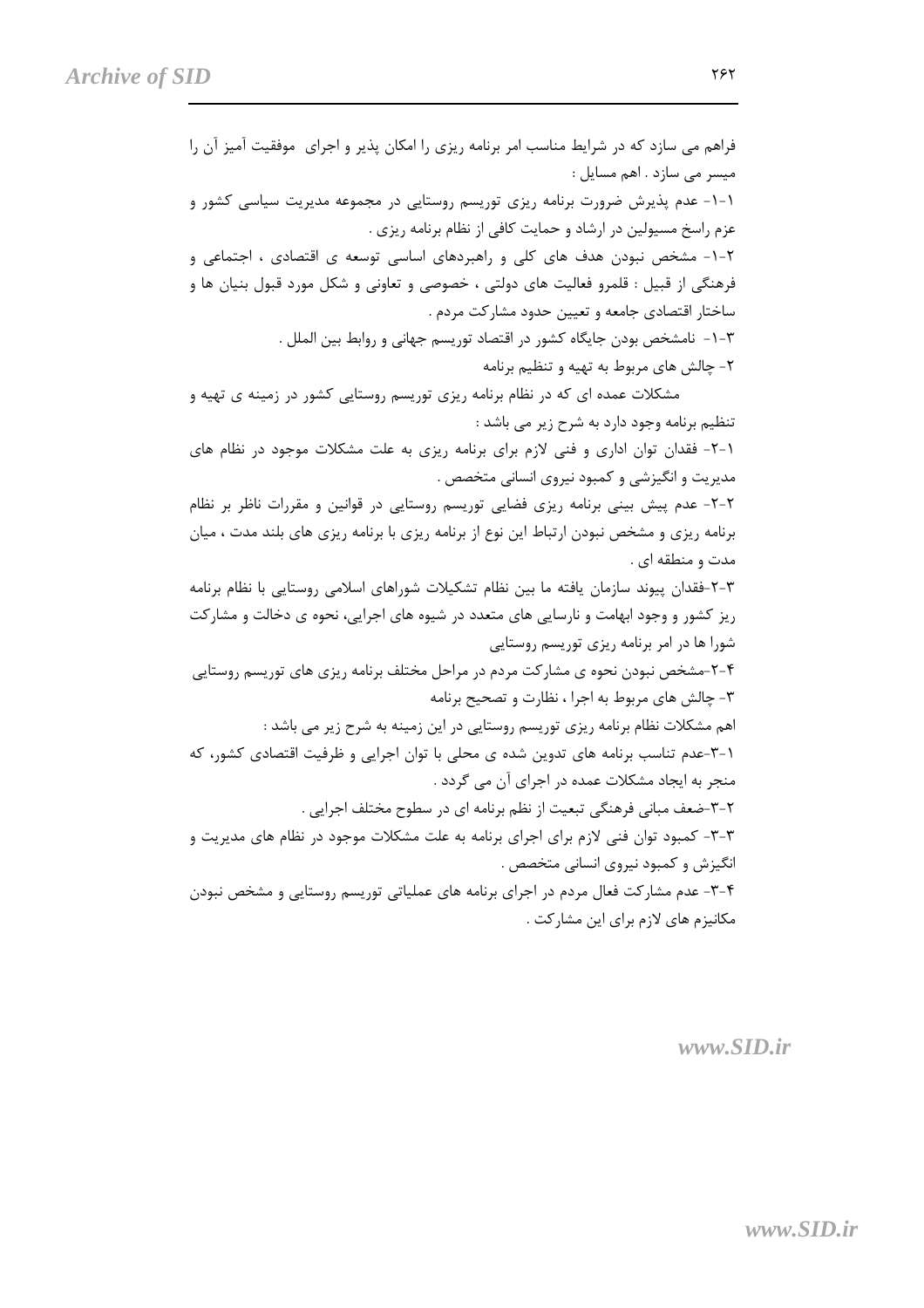فراهم می سازد که در شرایط مناسب امر برنامه ریزی را امکان پذیر و اجرای ِ موفقیت آمیز آن را میسر می سازد . اهم مسایل : ۱-۱- عدم پذیرش ضرورت برنامه ریزی توریسم روستایی در مجموعه مدیریت سیاسی کشور و عزم راسخ مسیولین در ارشاد و حمایت کافی از نظام برنامه ریزی . ۲-۱- مشخص نبودن هدف های کلی و راهبردهای اساسی توسعه ی اقتصادی ، اجتماعی و فرهنگی از قبیل : قلمرو فعالیت های دولتی ، خصوصی و تعاونی و شکل مورد قبول بنیان ها و ساختار اقتصادی جامعه و تعیین حدود مشارکت مردم . ٣-١- نامشخص بودن جايگاه كشور در اقتصاد توريسم جهاني و روابط بين الملل . ۲- چالش های مربوط به تهیه و تنظیم برنامه مشکلات عمده ای که در نظام برنامه ریزی توریسم روستایی کشور در زمینه ی تهیه و تنظیم برنامه وجود دارد به شرح زیر می باشد : ٦-٦- فقدان توان اداری و فنی لازم برای برنامه ریزی به علت مشکلات موجود در نظام های مديريت و انگيزشي و كمبود نيروي انساني متخصص . ۲-۲- عدم پیش بینی برنامه ریزی فضایی توریسم روستایی در قوانین و مقررات ناظر بر نظام برنامه ریزی و مشخص نبودن ارتباط این نوع از برنامه ریزی با برنامه ریزی های بلند مدت ، میان مدت و منطقه ای . ۳-۲-فقدان پیوند سازمان یافته ما بین نظام تشکیلات شوراهای اسلامی روستایی با نظام برنامه ریز کشور و وجود ابهامت و نارسایی های متعدد در شیوه های اجرایی، نحوه ی دخالت و مشارکت شورا ها در امر برنامه ریزی توریسم روستایی ۲-۴-مشخص نبودن نحوه ی مشارکت مردم در مراحل مختلف برنامه ریزی های توریسم روستایی ۳- چالش های مربوط به اجرا ، نظارت و تصحیح برنامه اهم مشکلات نظام برنامه ریزی توریسم روستایی در این زمینه به شرح زیر می باشد : ۰۱–۳-عدم تناسب برنامه های تدوین شده ی محلی با توان اجرایی و ظرفیت اقتصادی کشور، که منجر به ایجاد مشکلات عمده در اجرای آن می گردد . ۲-۳-ضعف مبانی فرهنگی تبعیت از نظم برنامه ای در سطوح مختلف اجرایی . ۳-۳- کمبود توان فنی لازم برای اجرای برنامه به علت مشکلات موجود در نظام های مدیریت و انگیزش و کمبود نیروی انسانی متخصص . ۴-۳- عدم مشارکت فعال مردم در اجرای برنامه های عملیاتی توریسم روستایی و مشخص نبودن مکانیزم های لازم برای این مشارکت .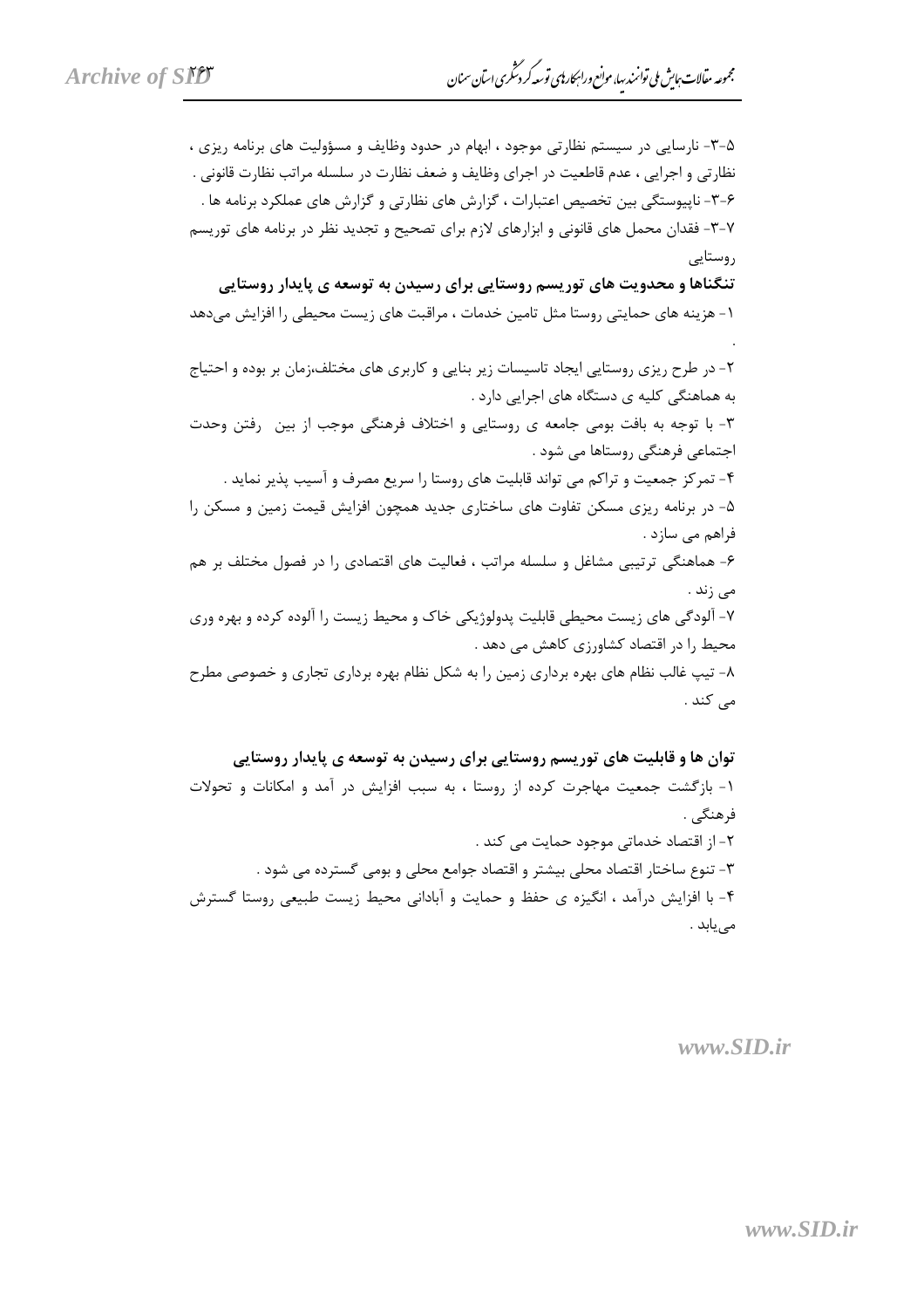۵-۳- نارسایی در سیستم نظارتی موجود ، ابهام در حدود وظایف و مسؤولیت های برنامه ریزی ، نظارتي و اجرايي ، عدم قاطعيت در اجراي وظايف و ضعف نظارت در سلسله مراتب نظارت قانوني . ۶–۳– ناپیوستگی بین تخصیص اعتبارات ، گزارش های نظارتی و گزارش های عملکرد برنامه ها . ۷-۳- فقدان محمل های قانونی و ابزارهای لازم برای تصحیح و تجدید نظر در برنامه های توریسم روستایے

تنگناها و محدویت های توریسم روستایی برای رسیدن به توسعه ی پایدار روستایی ١- هزينه هاي حمايتي , وستا مثل تامين خدمات ، مراقبت هاي زيست محيطي را افزايش ميدهد

۲- در طرح ریزی روستایی ایجاد تاسیسات زیر بنایی و کاربری های مختلف،زمان بر بوده و احتیاج به هماهنگی کلیه ی دستگاه های اجرایی دارد .

٣- با توجه به بافت بومي جامعه ي روستايي و اختلاف فرهنگي موجب از بين رفتن وحدت اجتماعی فرهنگی روستاها می شود .

۴- تمرکز جمعیت و تراکم می تواند قابلیت های روستا را سریع مصرف و آسیب پذیر نماید . ۵– در برنامه ریزی مسکن تفاوت های ساختاری جدید همچون افزایش قیمت زمین و مسکن را فراهم مے سازد . ۶- هماهنگی ترتیبی مشاغل و سلسله مراتب ، فعالیت های اقتصادی را در فصول مختلف بر هم

مى زند .

۷- آلودگی های زیست محیطی قابلیت پدولوژیکی خاک و محیط زیست را آلوده کرده و بهره وری محیط را در اقتصاد کشاورزی کاهش می دهد . ۸- تیپ غالب نظام های بهره برداری زمین را به شکل نظام بهره برداری تجاری و خصوصی مطرح

مے کند .

توان ها و قابلیت های توریسم روستایی برای رسیدن به توسعه ی پایدار روستایی ۱- بازگشت جمعیت مهاجرت کرده از روستا ، به سبب افزایش در آمد و امکانات و تحولات فرهنگي . ٢- از اقتصاد خدماتی موجود حمایت می کند . ٣- تنوع ساختار اقتصاد محلي بيشتر و اقتصاد جوامع محلي و بومي گسترده مي شود . ۴- با افزایش درآمد ، انگیزه ی حفظ و حمایت و آبادانی محیط زیست طبیعی روستا گسترش مے یابد .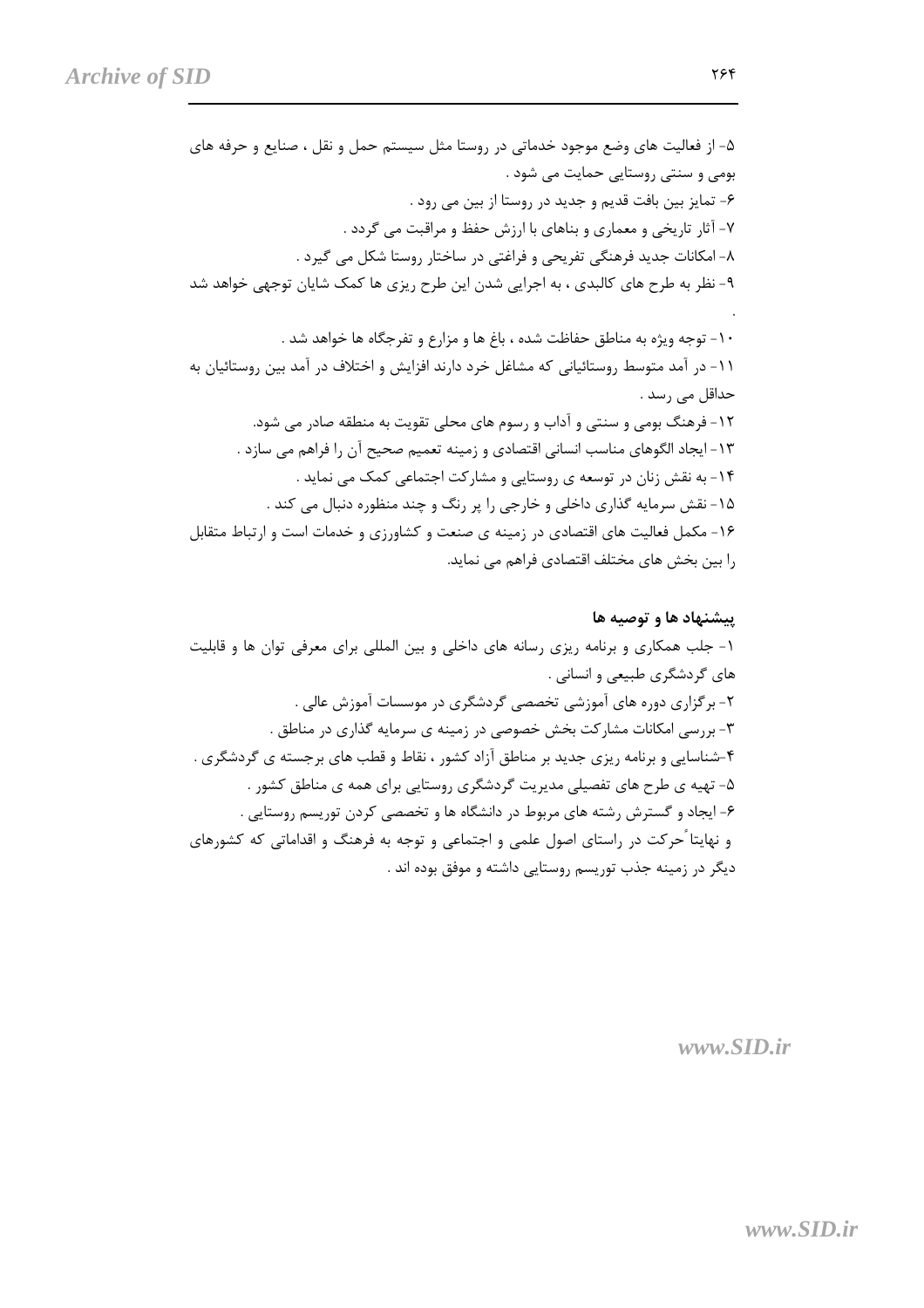۱۴- به نقش زنان در توسعه ی روستایی و مشارکت اجتماعی کمک می نماید . ۱۵- نقش سرمایه گذاری داخلی و خارجی را پر رنگ و چند منظوره دنبال می کند . ۱۶- مکمل فعالیت های اقتصادی در زمینه ی صنعت و کشاورزی و خدمات است و ارتباط متقابل را بین بخش های مختلف اقتصادی فراهم می نماید.

#### پیشنهاد ها و توصیه ها

۱- جلب همکاری و برنامه ریزی رسانه های داخلی و بین المللی برای معرفی توان ها و قابلیت های گردشگری طبیعی و انسانی . ۲- برگزاری دوره های آموزشی تخصصی گردشگری در موسسات آموزش عالی . ۳- بررسی امکانات مشارکت بخش خصوصی در زمینه ی سرمایه گذاری در مناطق . ۴-شناسایی و برنامه ریزی جدید بر مناطق آزاد کشور ، نقاط و قطب های برجسته ی گردشگری . ۵- تهیه ی طرح های تفصیلی مدیریت گردشگری روستایی برای همه ی مناطق کشور . ۶- ایجاد و گسترش رشته های مربوط در دانشگاه ها و تخصصی کردن توریسم روستایی . و نهایتا ٔ حرکت در راستای اصول علمی و اجتماعی و توجه به فرهنگ و اقداماتی که کشورهای دیگر در زمینه جذب توریسم روستایی داشته و موفق بوده اند .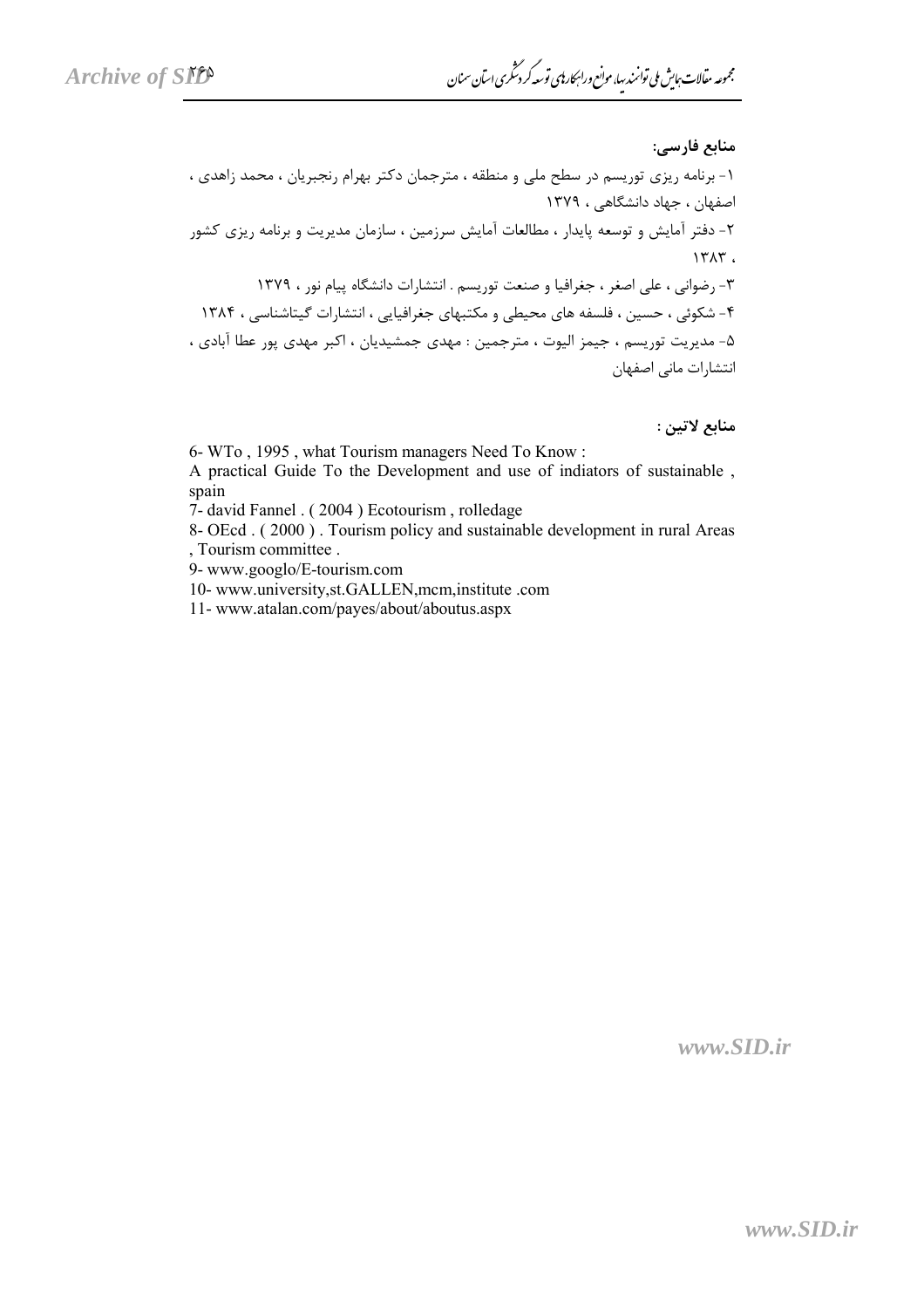منابع لاتين :

6- WTo, 1995, what Tourism managers Need To Know:

A practical Guide To the Development and use of indiators of sustainable, spain

7- david Fannel . (2004) Ecotourism, rolledage

8- OEcd. (2000). Tourism policy and sustainable development in rural Areas , Tourism committee .

9- www.googlo/E-tourism.com

10- www.university,st.GALLEN,mcm,institute.com

11-www.atalan.com/payes/about/aboutus.aspx